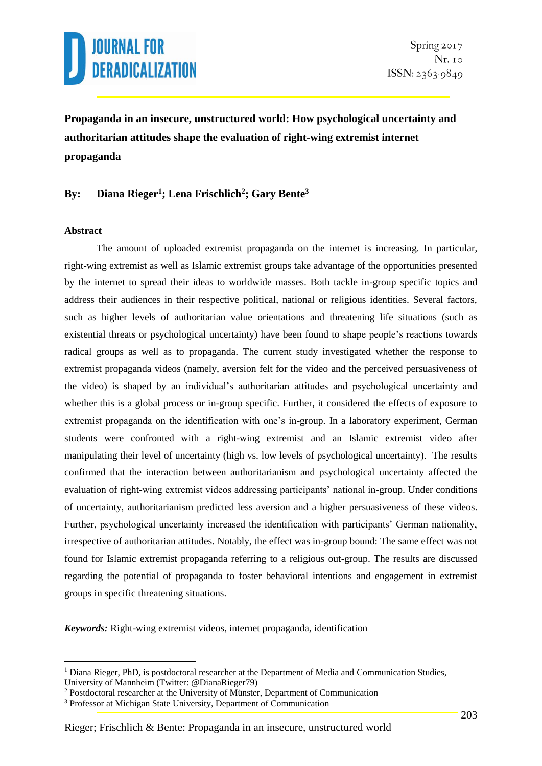

**Propaganda in an insecure, unstructured world: How psychological uncertainty and authoritarian attitudes shape the evaluation of right-wing extremist internet propaganda**

### **By: Diana Rieger<sup>1</sup> ; Lena Frischlich<sup>2</sup> ; Gary Bente<sup>3</sup>**

#### **Abstract**

1

The amount of uploaded extremist propaganda on the internet is increasing. In particular, right-wing extremist as well as Islamic extremist groups take advantage of the opportunities presented by the internet to spread their ideas to worldwide masses. Both tackle in-group specific topics and address their audiences in their respective political, national or religious identities. Several factors, such as higher levels of authoritarian value orientations and threatening life situations (such as existential threats or psychological uncertainty) have been found to shape people's reactions towards radical groups as well as to propaganda. The current study investigated whether the response to extremist propaganda videos (namely, aversion felt for the video and the perceived persuasiveness of the video) is shaped by an individual's authoritarian attitudes and psychological uncertainty and whether this is a global process or in-group specific. Further, it considered the effects of exposure to extremist propaganda on the identification with one's in-group. In a laboratory experiment, German students were confronted with a right-wing extremist and an Islamic extremist video after manipulating their level of uncertainty (high vs. low levels of psychological uncertainty). The results confirmed that the interaction between authoritarianism and psychological uncertainty affected the evaluation of right-wing extremist videos addressing participants' national in-group. Under conditions of uncertainty, authoritarianism predicted less aversion and a higher persuasiveness of these videos. Further, psychological uncertainty increased the identification with participants' German nationality, irrespective of authoritarian attitudes. Notably, the effect was in-group bound: The same effect was not found for Islamic extremist propaganda referring to a religious out-group. The results are discussed regarding the potential of propaganda to foster behavioral intentions and engagement in extremist groups in specific threatening situations.

*Keywords:* Right-wing extremist videos, internet propaganda, identification

 $<sup>1</sup>$  Diana Rieger, PhD, is postdoctoral researcher at the Department of Media and Communication Studies,</sup> University of Mannheim (Twitter: @DianaRieger79)

<sup>&</sup>lt;sup>2</sup> Postdoctoral researcher at the University of Münster, Department of Communication

<sup>&</sup>lt;sup>3</sup> Professor at Michigan State University, Department of Communication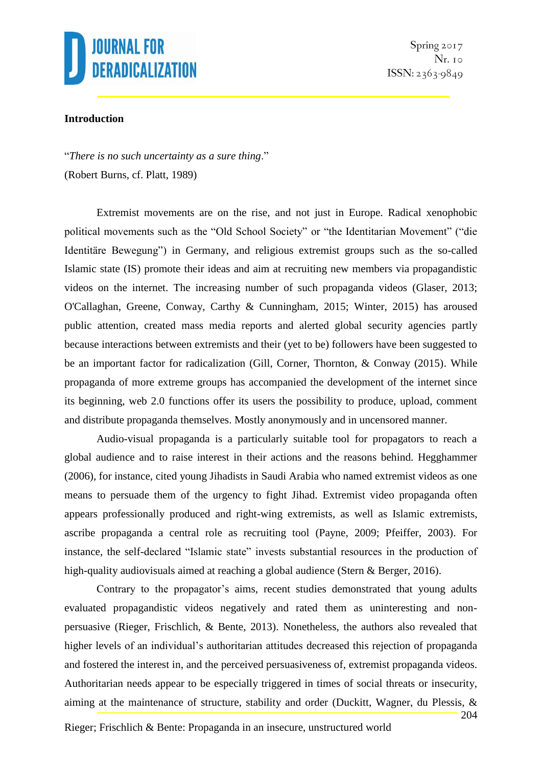

Spring 2017  $Nr.$  10  $ISSN: 2363-9849$ 

### **Introduction**

"*There is no such uncertainty as a sure thing*." (Robert Burns, cf. Platt, 1989)

Extremist movements are on the rise, and not just in Europe. Radical xenophobic political movements such as the "Old School Society" or "the Identitarian Movement" ("die Identitäre Bewegung") in Germany, and religious extremist groups such as the so-called Islamic state (IS) promote their ideas and aim at recruiting new members via propagandistic videos on the internet. The increasing number of such propaganda videos (Glaser, 2013; O'Callaghan, Greene, Conway, Carthy & Cunningham, 2015; Winter, 2015) has aroused public attention, created mass media reports and alerted global security agencies partly because interactions between extremists and their (yet to be) followers have been suggested to be an important factor for radicalization (Gill, Corner, Thornton, & Conway (2015). While propaganda of more extreme groups has accompanied the development of the internet since its beginning, web 2.0 functions offer its users the possibility to produce, upload, comment and distribute propaganda themselves. Mostly anonymously and in uncensored manner.

Audio-visual propaganda is a particularly suitable tool for propagators to reach a global audience and to raise interest in their actions and the reasons behind. Hegghammer (2006), for instance, cited young Jihadists in Saudi Arabia who named extremist videos as one means to persuade them of the urgency to fight Jihad. Extremist video propaganda often appears professionally produced and right-wing extremists, as well as Islamic extremists, ascribe propaganda a central role as recruiting tool (Payne, 2009; Pfeiffer, 2003). For instance, the self-declared "Islamic state" invests substantial resources in the production of high-quality audiovisuals aimed at reaching a global audience (Stern & Berger, 2016).

Contrary to the propagator's aims, recent studies demonstrated that young adults evaluated propagandistic videos negatively and rated them as uninteresting and nonpersuasive (Rieger, Frischlich, & Bente, 2013). Nonetheless, the authors also revealed that higher levels of an individual's authoritarian attitudes decreased this rejection of propaganda and fostered the interest in, and the perceived persuasiveness of, extremist propaganda videos. Authoritarian needs appear to be especially triggered in times of social threats or insecurity, aiming at the maintenance of structure, stability and order (Duckitt, Wagner, du Plessis, &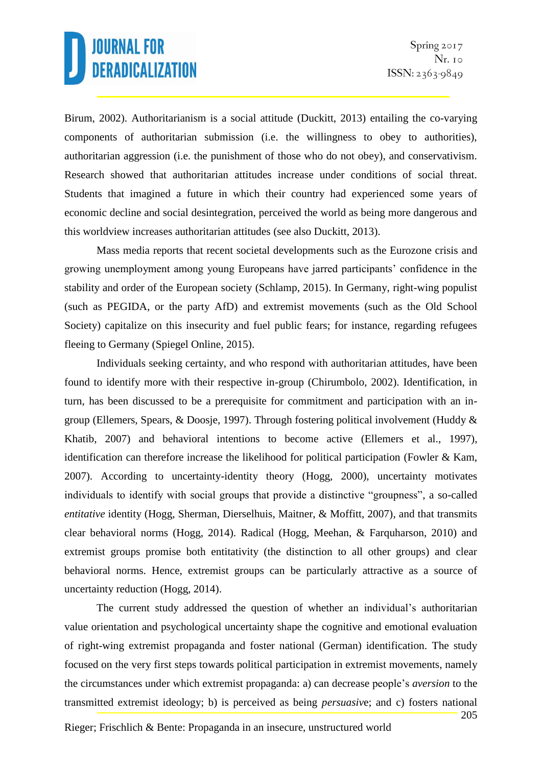Birum, 2002). Authoritarianism is a social attitude (Duckitt, 2013) entailing the co-varying components of authoritarian submission (i.e. the willingness to obey to authorities), authoritarian aggression (i.e. the punishment of those who do not obey), and conservativism. Research showed that authoritarian attitudes increase under conditions of social threat. Students that imagined a future in which their country had experienced some years of economic decline and social desintegration, perceived the world as being more dangerous and this worldview increases authoritarian attitudes (see also Duckitt, 2013).

Mass media reports that recent societal developments such as the Eurozone crisis and growing unemployment among young Europeans have jarred participants' confidence in the stability and order of the European society (Schlamp, 2015). In Germany, right-wing populist (such as PEGIDA, or the party AfD) and extremist movements (such as the Old School Society) capitalize on this insecurity and fuel public fears; for instance, regarding refugees fleeing to Germany (Spiegel Online, 2015).

Individuals seeking certainty, and who respond with authoritarian attitudes, have been found to identify more with their respective in-group (Chirumbolo, 2002). Identification, in turn, has been discussed to be a prerequisite for commitment and participation with an ingroup (Ellemers, Spears, & Doosje, 1997). Through fostering political involvement (Huddy & Khatib, 2007) and behavioral intentions to become active (Ellemers et al., 1997), identification can therefore increase the likelihood for political participation (Fowler & Kam, 2007). According to uncertainty-identity theory (Hogg, 2000), uncertainty motivates individuals to identify with social groups that provide a distinctive "groupness", a so-called *entitative* identity (Hogg, Sherman, Dierselhuis, Maitner, & Moffitt, 2007), and that transmits clear behavioral norms (Hogg, 2014). Radical (Hogg, Meehan, & Farquharson, 2010) and extremist groups promise both entitativity (the distinction to all other groups) and clear behavioral norms. Hence, extremist groups can be particularly attractive as a source of uncertainty reduction (Hogg, 2014).

The current study addressed the question of whether an individual's authoritarian value orientation and psychological uncertainty shape the cognitive and emotional evaluation of right-wing extremist propaganda and foster national (German) identification. The study focused on the very first steps towards political participation in extremist movements, namely the circumstances under which extremist propaganda: a) can decrease people's *aversion* to the transmitted extremist ideology; b) is perceived as being *persuasiv*e; and c) fosters national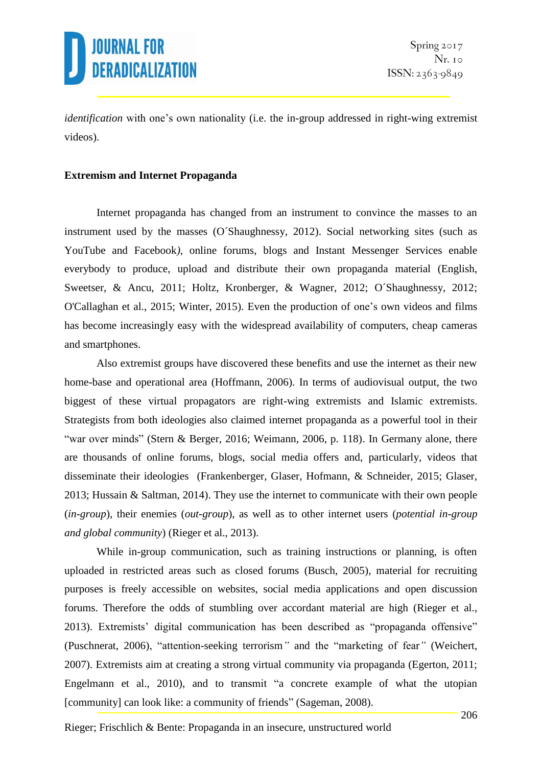

*identification* with one's own nationality (i.e. the in-group addressed in right-wing extremist videos).

#### **Extremism and Internet Propaganda**

Internet propaganda has changed from an instrument to convince the masses to an instrument used by the masses (O´Shaughnessy, 2012). Social networking sites (such as YouTube and Facebook*),* online forums, blogs and Instant Messenger Services enable everybody to produce, upload and distribute their own propaganda material (English, Sweetser, & Ancu, 2011; Holtz, Kronberger, & Wagner, 2012; O´Shaughnessy, 2012; O'Callaghan et al., 2015; Winter, 2015). Even the production of one's own videos and films has become increasingly easy with the widespread availability of computers, cheap cameras and smartphones.

Also extremist groups have discovered these benefits and use the internet as their new home-base and operational area (Hoffmann, 2006). In terms of audiovisual output, the two biggest of these virtual propagators are right-wing extremists and Islamic extremists. Strategists from both ideologies also claimed internet propaganda as a powerful tool in their "war over minds" (Stern & Berger, 2016; Weimann, 2006, p. 118). In Germany alone, there are thousands of online forums, blogs, social media offers and, particularly, videos that disseminate their ideologies (Frankenberger, Glaser, Hofmann, & Schneider, 2015; Glaser, 2013; Hussain & Saltman, 2014). They use the internet to communicate with their own people (*in-group*), their enemies (*out-group*), as well as to other internet users (*potential in-group and global community*) (Rieger et al., 2013).

While in-group communication, such as training instructions or planning, is often uploaded in restricted areas such as closed forums (Busch, 2005), material for recruiting purposes is freely accessible on websites, social media applications and open discussion forums. Therefore the odds of stumbling over accordant material are high (Rieger et al., 2013). Extremists' digital communication has been described as "propaganda offensive" (Puschnerat, 2006), "attention-seeking terrorism*"* and the "marketing of fear*"* (Weichert, 2007). Extremists aim at creating a strong virtual community via propaganda (Egerton, 2011; Engelmann et al., 2010), and to transmit "a concrete example of what the utopian [community] can look like: a community of friends" (Sageman, 2008).

Rieger; Frischlich & Bente: Propaganda in an insecure, unstructured world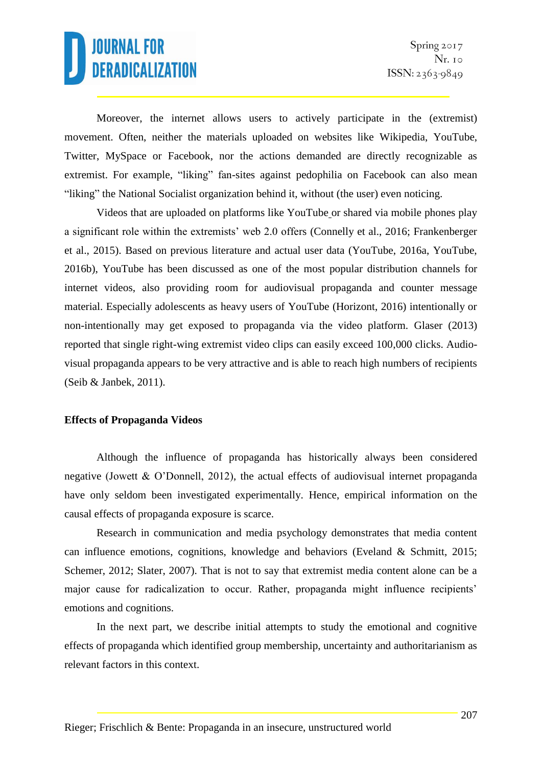

Moreover, the internet allows users to actively participate in the (extremist) movement. Often, neither the materials uploaded on websites like Wikipedia, YouTube, Twitter, MySpace or Facebook, nor the actions demanded are directly recognizable as extremist. For example, "liking" fan-sites against pedophilia on Facebook can also mean "liking" the National Socialist organization behind it, without (the user) even noticing.

Videos that are uploaded on platforms like YouTube or shared via mobile phones play a significant role within the extremists' web 2.0 offers (Connelly et al., 2016; Frankenberger et al., 2015). Based on previous literature and actual user data (YouTube, 2016a, YouTube, 2016b), YouTube has been discussed as one of the most popular distribution channels for internet videos, also providing room for audiovisual propaganda and counter message material. Especially adolescents as heavy users of YouTube (Horizont, 2016) intentionally or non-intentionally may get exposed to propaganda via the video platform. Glaser (2013) reported that single right-wing extremist video clips can easily exceed 100,000 clicks. Audiovisual propaganda appears to be very attractive and is able to reach high numbers of recipients (Seib & Janbek, 2011).

#### **Effects of Propaganda Videos**

Although the influence of propaganda has historically always been considered negative (Jowett & O'Donnell, 2012), the actual effects of audiovisual internet propaganda have only seldom been investigated experimentally. Hence, empirical information on the causal effects of propaganda exposure is scarce.

Research in communication and media psychology demonstrates that media content can influence emotions, cognitions, knowledge and behaviors (Eveland & Schmitt, 2015; Schemer, 2012; Slater, 2007). That is not to say that extremist media content alone can be a major cause for radicalization to occur. Rather, propaganda might influence recipients' emotions and cognitions.

In the next part, we describe initial attempts to study the emotional and cognitive effects of propaganda which identified group membership, uncertainty and authoritarianism as relevant factors in this context.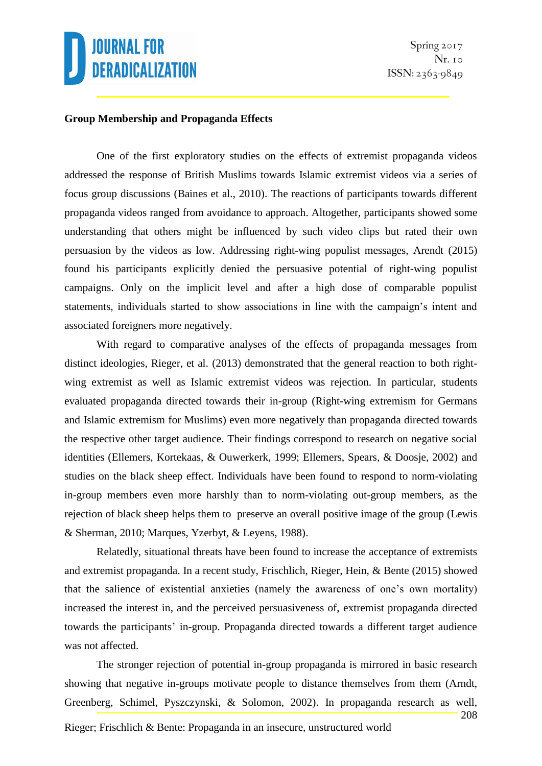### **Group Membership and Propaganda Effects**

One of the first exploratory studies on the effects of extremist propaganda videos addressed the response of British Muslims towards Islamic extremist videos via a series of focus group discussions (Baines et al., 2010). The reactions of participants towards different propaganda videos ranged from avoidance to approach. Altogether, participants showed some understanding that others might be influenced by such video clips but rated their own persuasion by the videos as low. Addressing right-wing populist messages, Arendt (2015) found his participants explicitly denied the persuasive potential of right-wing populist campaigns. Only on the implicit level and after a high dose of comparable populist statements, individuals started to show associations in line with the campaign's intent and associated foreigners more negatively.

With regard to comparative analyses of the effects of propaganda messages from distinct ideologies, Rieger, et al. (2013) demonstrated that the general reaction to both rightwing extremist as well as Islamic extremist videos was rejection. In particular, students evaluated propaganda directed towards their in-group (Right-wing extremism for Germans and Islamic extremism for Muslims) even more negatively than propaganda directed towards the respective other target audience. Their findings correspond to research on negative social identities (Ellemers, Kortekaas, & Ouwerkerk, 1999; Ellemers, Spears, & Doosje, 2002) and studies on the black sheep effect. Individuals have been found to respond to norm-violating in-group members even more harshly than to norm-violating out-group members, as the rejection of black sheep helps them to preserve an overall positive image of the group (Lewis & Sherman, 2010; Marques, Yzerbyt, & Leyens, 1988).

Relatedly, situational threats have been found to increase the acceptance of extremists and extremist propaganda. In a recent study, Frischlich, Rieger, Hein, & Bente (2015) showed that the salience of existential anxieties (namely the awareness of one's own mortality) increased the interest in, and the perceived persuasiveness of, extremist propaganda directed towards the participants' in-group. Propaganda directed towards a different target audience was not affected.

208 The stronger rejection of potential in-group propaganda is mirrored in basic research showing that negative in-groups motivate people to distance themselves from them (Arndt, Greenberg, Schimel, Pyszczynski, & Solomon, 2002). In propaganda research as well,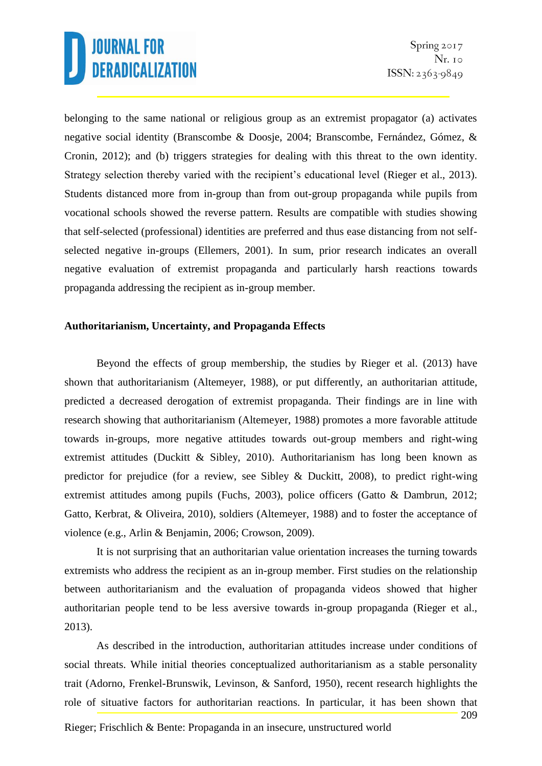belonging to the same national or religious group as an extremist propagator (a) activates negative social identity (Branscombe & Doosje, 2004; Branscombe, Fernández, Gómez, & Cronin, 2012); and (b) triggers strategies for dealing with this threat to the own identity. Strategy selection thereby varied with the recipient's educational level (Rieger et al., 2013). Students distanced more from in-group than from out-group propaganda while pupils from vocational schools showed the reverse pattern. Results are compatible with studies showing that self-selected (professional) identities are preferred and thus ease distancing from not selfselected negative in-groups (Ellemers, 2001). In sum, prior research indicates an overall negative evaluation of extremist propaganda and particularly harsh reactions towards propaganda addressing the recipient as in-group member.

#### **Authoritarianism, Uncertainty, and Propaganda Effects**

Beyond the effects of group membership, the studies by Rieger et al. (2013) have shown that authoritarianism (Altemeyer, 1988), or put differently, an authoritarian attitude, predicted a decreased derogation of extremist propaganda. Their findings are in line with research showing that authoritarianism (Altemeyer, 1988) promotes a more favorable attitude towards in-groups, more negative attitudes towards out-group members and right-wing extremist attitudes (Duckitt & Sibley, 2010). Authoritarianism has long been known as predictor for prejudice (for a review, see Sibley & Duckitt, 2008), to predict right-wing extremist attitudes among pupils (Fuchs, 2003), police officers (Gatto & Dambrun, 2012; Gatto, Kerbrat, & Oliveira, 2010), soldiers (Altemeyer, 1988) and to foster the acceptance of violence (e.g., Arlin & Benjamin, 2006; Crowson, 2009).

It is not surprising that an authoritarian value orientation increases the turning towards extremists who address the recipient as an in-group member. First studies on the relationship between authoritarianism and the evaluation of propaganda videos showed that higher authoritarian people tend to be less aversive towards in-group propaganda (Rieger et al., 2013).

209 As described in the introduction, authoritarian attitudes increase under conditions of social threats. While initial theories conceptualized authoritarianism as a stable personality trait (Adorno, Frenkel-Brunswik, Levinson, & Sanford, 1950), recent research highlights the role of situative factors for authoritarian reactions. In particular, it has been shown that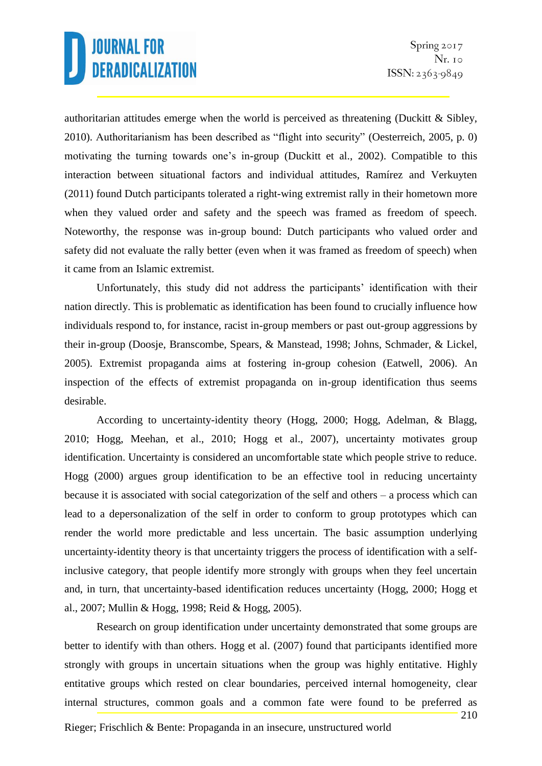authoritarian attitudes emerge when the world is perceived as threatening (Duckitt  $\&$  Sibley, 2010). Authoritarianism has been described as "flight into security" (Oesterreich, 2005, p. 0) motivating the turning towards one's in-group (Duckitt et al., 2002). Compatible to this interaction between situational factors and individual attitudes, Ramírez and Verkuyten (2011) found Dutch participants tolerated a right-wing extremist rally in their hometown more when they valued order and safety and the speech was framed as freedom of speech. Noteworthy, the response was in-group bound: Dutch participants who valued order and safety did not evaluate the rally better (even when it was framed as freedom of speech) when it came from an Islamic extremist.

Unfortunately, this study did not address the participants' identification with their nation directly. This is problematic as identification has been found to crucially influence how individuals respond to, for instance, racist in-group members or past out-group aggressions by their in-group (Doosje, Branscombe, Spears, & Manstead, 1998; Johns, Schmader, & Lickel, 2005). Extremist propaganda aims at fostering in-group cohesion (Eatwell, 2006). An inspection of the effects of extremist propaganda on in-group identification thus seems desirable.

According to uncertainty-identity theory (Hogg, 2000; Hogg, Adelman, & Blagg, 2010; Hogg, Meehan, et al., 2010; Hogg et al., 2007), uncertainty motivates group identification. Uncertainty is considered an uncomfortable state which people strive to reduce. Hogg (2000) argues group identification to be an effective tool in reducing uncertainty because it is associated with social categorization of the self and others – a process which can lead to a depersonalization of the self in order to conform to group prototypes which can render the world more predictable and less uncertain. The basic assumption underlying uncertainty-identity theory is that uncertainty triggers the process of identification with a selfinclusive category, that people identify more strongly with groups when they feel uncertain and, in turn, that uncertainty-based identification reduces uncertainty (Hogg, 2000; Hogg et al., 2007; Mullin & Hogg, 1998; Reid & Hogg, 2005).

Research on group identification under uncertainty demonstrated that some groups are better to identify with than others. Hogg et al. (2007) found that participants identified more strongly with groups in uncertain situations when the group was highly entitative. Highly entitative groups which rested on clear boundaries, perceived internal homogeneity, clear internal structures, common goals and a common fate were found to be preferred as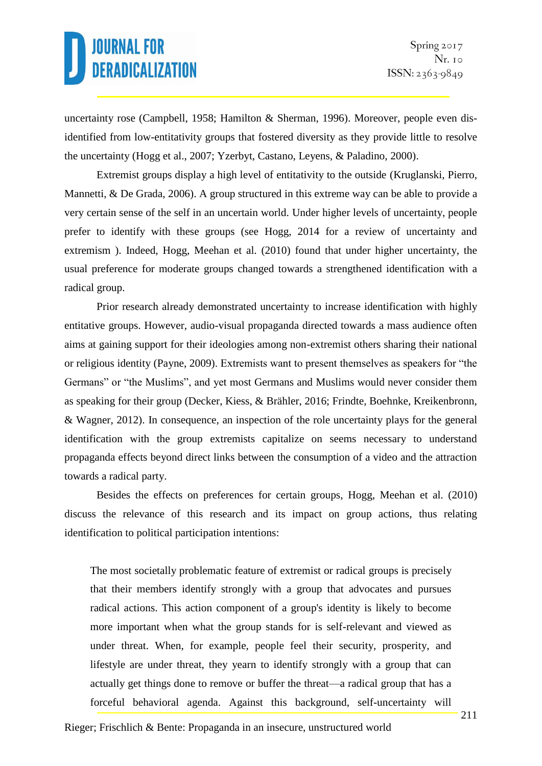uncertainty rose (Campbell, 1958; Hamilton & Sherman, 1996). Moreover, people even disidentified from low-entitativity groups that fostered diversity as they provide little to resolve the uncertainty (Hogg et al., 2007; Yzerbyt, Castano, Leyens, & Paladino, 2000).

Extremist groups display a high level of entitativity to the outside (Kruglanski, Pierro, Mannetti, & De Grada, 2006). A group structured in this extreme way can be able to provide a very certain sense of the self in an uncertain world. Under higher levels of uncertainty, people prefer to identify with these groups (see Hogg, 2014 for a review of uncertainty and extremism ). Indeed, Hogg, Meehan et al. (2010) found that under higher uncertainty, the usual preference for moderate groups changed towards a strengthened identification with a radical group.

Prior research already demonstrated uncertainty to increase identification with highly entitative groups. However, audio-visual propaganda directed towards a mass audience often aims at gaining support for their ideologies among non-extremist others sharing their national or religious identity (Payne, 2009). Extremists want to present themselves as speakers for "the Germans" or "the Muslims", and yet most Germans and Muslims would never consider them as speaking for their group (Decker, Kiess, & Brähler, 2016; Frindte, Boehnke, Kreikenbronn, & Wagner, 2012). In consequence, an inspection of the role uncertainty plays for the general identification with the group extremists capitalize on seems necessary to understand propaganda effects beyond direct links between the consumption of a video and the attraction towards a radical party.

Besides the effects on preferences for certain groups, Hogg, Meehan et al. (2010) discuss the relevance of this research and its impact on group actions, thus relating identification to political participation intentions:

The most societally problematic feature of extremist or radical groups is precisely that their members identify strongly with a group that advocates and pursues radical actions. This action component of a group's identity is likely to become more important when what the group stands for is self-relevant and viewed as under threat. When, for example, people feel their security, prosperity, and lifestyle are under threat, they yearn to identify strongly with a group that can actually get things done to remove or buffer the threat—a radical group that has a forceful behavioral agenda. Against this background, self-uncertainty will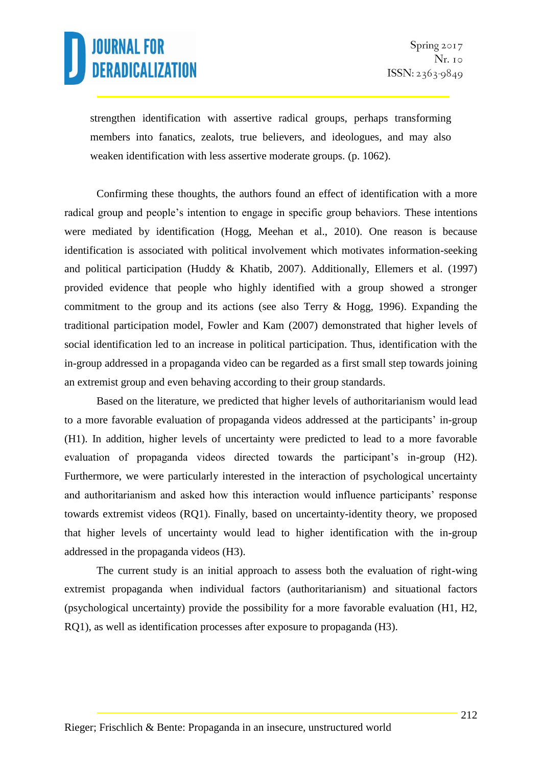strengthen identification with assertive radical groups, perhaps transforming members into fanatics, zealots, true believers, and ideologues, and may also weaken identification with less assertive moderate groups. (p. 1062).

Confirming these thoughts, the authors found an effect of identification with a more radical group and people's intention to engage in specific group behaviors. These intentions were mediated by identification (Hogg, Meehan et al., 2010). One reason is because identification is associated with political involvement which motivates information-seeking and political participation (Huddy & Khatib, 2007). Additionally, Ellemers et al. (1997) provided evidence that people who highly identified with a group showed a stronger commitment to the group and its actions (see also Terry  $\&$  Hogg, 1996). Expanding the traditional participation model, Fowler and Kam (2007) demonstrated that higher levels of social identification led to an increase in political participation. Thus, identification with the in-group addressed in a propaganda video can be regarded as a first small step towards joining an extremist group and even behaving according to their group standards.

Based on the literature, we predicted that higher levels of authoritarianism would lead to a more favorable evaluation of propaganda videos addressed at the participants' in-group (H1). In addition, higher levels of uncertainty were predicted to lead to a more favorable evaluation of propaganda videos directed towards the participant's in-group (H2). Furthermore, we were particularly interested in the interaction of psychological uncertainty and authoritarianism and asked how this interaction would influence participants' response towards extremist videos (RQ1). Finally, based on uncertainty-identity theory, we proposed that higher levels of uncertainty would lead to higher identification with the in-group addressed in the propaganda videos (H3).

The current study is an initial approach to assess both the evaluation of right-wing extremist propaganda when individual factors (authoritarianism) and situational factors (psychological uncertainty) provide the possibility for a more favorable evaluation (H1, H2, RQ1), as well as identification processes after exposure to propaganda (H3).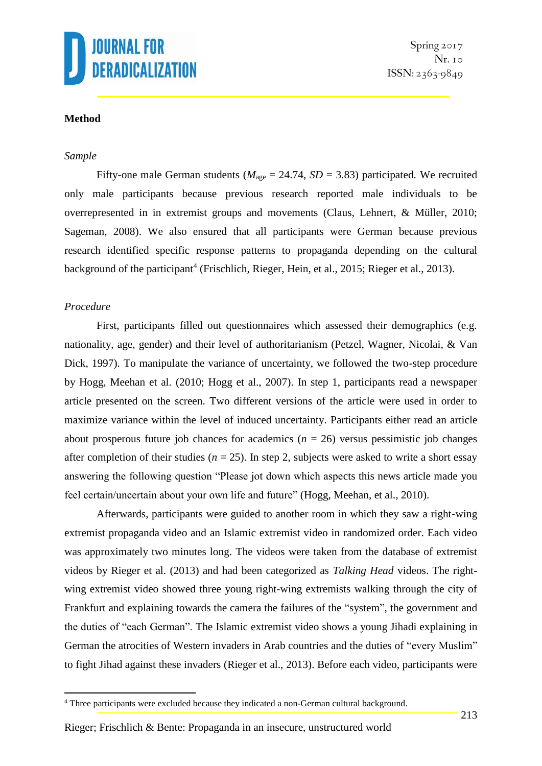

## **Method**

#### *Sample*

Fifty-one male German students ( $M_{\text{age}} = 24.74$ ,  $SD = 3.83$ ) participated. We recruited only male participants because previous research reported male individuals to be overrepresented in in extremist groups and movements (Claus, Lehnert, & Müller, 2010; Sageman, 2008). We also ensured that all participants were German because previous research identified specific response patterns to propaganda depending on the cultural background of the participant<sup>4</sup> (Frischlich, Rieger, Hein, et al., 2015; Rieger et al., 2013).

#### *Procedure*

1

First, participants filled out questionnaires which assessed their demographics (e.g. nationality, age, gender) and their level of authoritarianism (Petzel, Wagner, Nicolai, & Van Dick, 1997). To manipulate the variance of uncertainty, we followed the two-step procedure by Hogg, Meehan et al. (2010; Hogg et al., 2007). In step 1, participants read a newspaper article presented on the screen. Two different versions of the article were used in order to maximize variance within the level of induced uncertainty. Participants either read an article about prosperous future job chances for academics  $(n = 26)$  versus pessimistic job changes after completion of their studies ( $n = 25$ ). In step 2, subjects were asked to write a short essay answering the following question "Please jot down which aspects this news article made you feel certain/uncertain about your own life and future" (Hogg, Meehan, et al., 2010).

Afterwards, participants were guided to another room in which they saw a right-wing extremist propaganda video and an Islamic extremist video in randomized order. Each video was approximately two minutes long. The videos were taken from the database of extremist videos by Rieger et al. (2013) and had been categorized as *Talking Head* videos. The rightwing extremist video showed three young right-wing extremists walking through the city of Frankfurt and explaining towards the camera the failures of the "system", the government and the duties of "each German". The Islamic extremist video shows a young Jihadi explaining in German the atrocities of Western invaders in Arab countries and the duties of "every Muslim" to fight Jihad against these invaders (Rieger et al., 2013). Before each video, participants were

<sup>4</sup> Three participants were excluded because they indicated a non-German cultural background.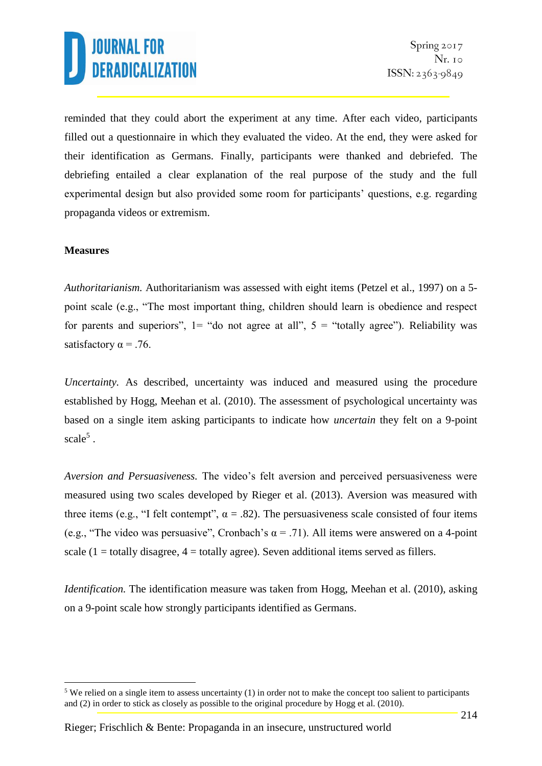reminded that they could abort the experiment at any time. After each video, participants filled out a questionnaire in which they evaluated the video. At the end, they were asked for their identification as Germans. Finally, participants were thanked and debriefed. The debriefing entailed a clear explanation of the real purpose of the study and the full experimental design but also provided some room for participants' questions, e.g. regarding propaganda videos or extremism.

## **Measures**

1

*Authoritarianism.* Authoritarianism was assessed with eight items (Petzel et al., 1997) on a 5 point scale (e.g., "The most important thing, children should learn is obedience and respect for parents and superiors",  $1 =$  "do not agree at all",  $5 =$  "totally agree"). Reliability was satisfactory  $\alpha = .76$ .

*Uncertainty*. As described, uncertainty was induced and measured using the procedure established by Hogg, Meehan et al. (2010). The assessment of psychological uncertainty was based on a single item asking participants to indicate how *uncertain* they felt on a 9-point scale<sup>5</sup>.

*Aversion and Persuasiveness.* The video's felt aversion and perceived persuasiveness were measured using two scales developed by Rieger et al. (2013). Aversion was measured with three items (e.g., "I felt contempt",  $\alpha = .82$ ). The persuasiveness scale consisted of four items (e.g., "The video was persuasive", Cronbach's  $\alpha$  = .71). All items were answered on a 4-point scale  $(1 =$  totally disagree,  $4 =$  totally agree). Seven additional items served as fillers.

*Identification*. The identification measure was taken from Hogg, Meehan et al. (2010), asking on a 9-point scale how strongly participants identified as Germans.

<sup>&</sup>lt;sup>5</sup> We relied on a single item to assess uncertainty (1) in order not to make the concept too salient to participants and (2) in order to stick as closely as possible to the original procedure by Hogg et al. (2010).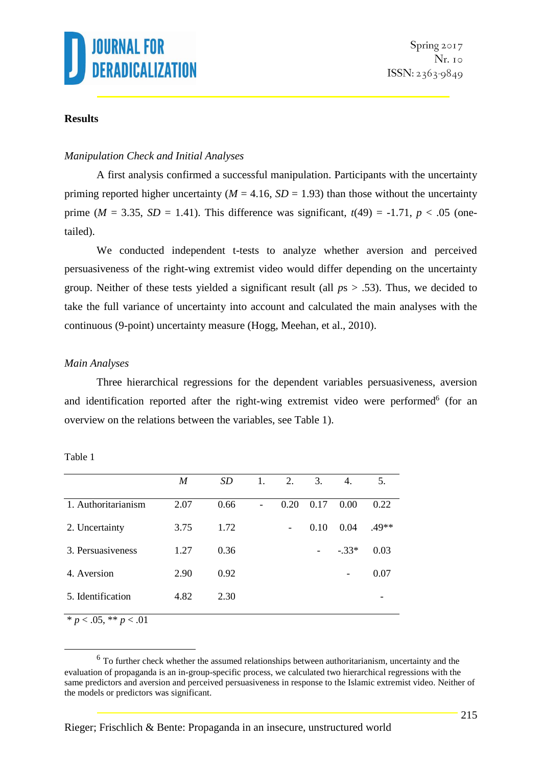

## **Results**

#### *Manipulation Check and Initial Analyses*

A first analysis confirmed a successful manipulation. Participants with the uncertainty priming reported higher uncertainty ( $M = 4.16$ ,  $SD = 1.93$ ) than those without the uncertainty prime ( $M = 3.35$ ,  $SD = 1.41$ ). This difference was significant,  $t(49) = -1.71$ ,  $p < .05$  (onetailed).

We conducted independent t-tests to analyze whether aversion and perceived persuasiveness of the right-wing extremist video would differ depending on the uncertainty group. Neither of these tests yielded a significant result (all *p*s > .53). Thus, we decided to take the full variance of uncertainty into account and calculated the main analyses with the continuous (9-point) uncertainty measure (Hogg, Meehan, et al., 2010).

### *Main Analyses*

Three hierarchical regressions for the dependent variables persuasiveness, aversion and identification reported after the right-wing extremist video were performed<sup>6</sup> (for an overview on the relations between the variables, see Table 1).

|                                                                                                                                                                                                                                                                                                                     | M    | <b>SD</b> | 1. | 2.                       | 3.   | 4.                       | 5.      |
|---------------------------------------------------------------------------------------------------------------------------------------------------------------------------------------------------------------------------------------------------------------------------------------------------------------------|------|-----------|----|--------------------------|------|--------------------------|---------|
| 1. Authoritarianism                                                                                                                                                                                                                                                                                                 | 2.07 | 0.66      |    | 0.20                     | 0.17 | 0.00                     | 0.22    |
| 2. Uncertainty                                                                                                                                                                                                                                                                                                      | 3.75 | 1.72      |    | $\overline{\phantom{a}}$ | 0.10 | 0.04                     | $.49**$ |
| 3. Persuasiveness                                                                                                                                                                                                                                                                                                   | 1.27 | 0.36      |    |                          |      | $-.33*$                  | 0.03    |
| 4. Aversion                                                                                                                                                                                                                                                                                                         | 2.90 | 0.92      |    |                          |      | $\overline{\phantom{a}}$ | 0.07    |
| 5. Identification                                                                                                                                                                                                                                                                                                   | 4.82 | 2.30      |    |                          |      |                          |         |
| $\frac{1}{2}$ $\frac{1}{2}$ $\frac{1}{2}$ $\frac{1}{2}$ $\frac{1}{2}$ $\frac{1}{2}$ $\frac{1}{2}$ $\frac{1}{2}$ $\frac{1}{2}$ $\frac{1}{2}$ $\frac{1}{2}$ $\frac{1}{2}$ $\frac{1}{2}$ $\frac{1}{2}$ $\frac{1}{2}$ $\frac{1}{2}$ $\frac{1}{2}$ $\frac{1}{2}$ $\frac{1}{2}$ $\frac{1}{2}$ $\frac{1}{2}$ $\frac{1}{2}$ |      |           |    |                          |      |                          |         |

Table 1

\*  $p < .05$ , \*\*  $p < .01$ 

<u>.</u>

 $<sup>6</sup>$  To further check whether the assumed relationships between authoritarianism, uncertainty and the</sup> evaluation of propaganda is an in-group-specific process, we calculated two hierarchical regressions with the same predictors and aversion and perceived persuasiveness in response to the Islamic extremist video. Neither of the models or predictors was significant.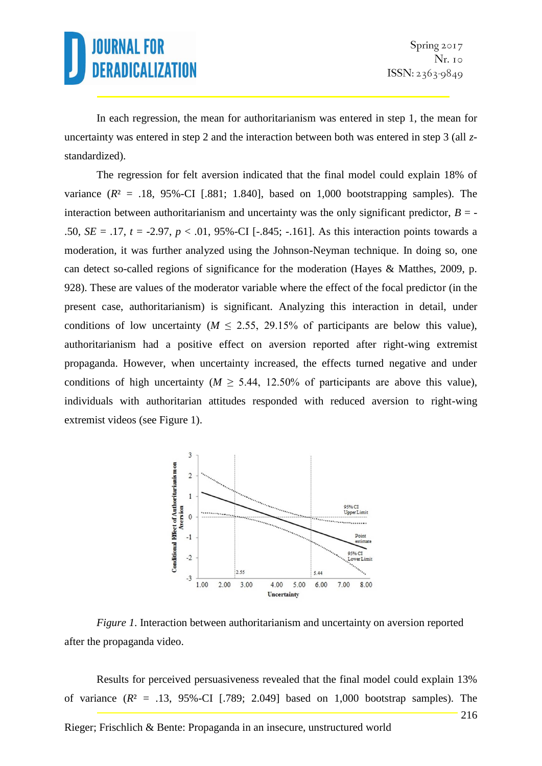In each regression, the mean for authoritarianism was entered in step 1, the mean for uncertainty was entered in step 2 and the interaction between both was entered in step 3 (all *z*standardized).

The regression for felt aversion indicated that the final model could explain 18% of variance  $(R^2 = .18, 95\%$ -CI [.881; 1.840], based on 1,000 bootstrapping samples). The interaction between authoritarianism and uncertainty was the only significant predictor,  $B = -$ .50, *SE* = .17, *t* = -2.97, *p* < .01, 95%-CI [-.845; -.161]. As this interaction points towards a moderation, it was further analyzed using the Johnson-Neyman technique. In doing so, one can detect so-called regions of significance for the moderation (Hayes & Matthes, 2009, p. 928). These are values of the moderator variable where the effect of the focal predictor (in the present case, authoritarianism) is significant. Analyzing this interaction in detail, under conditions of low uncertainty ( $M \le 2.55$ , 29.15% of participants are below this value), authoritarianism had a positive effect on aversion reported after right-wing extremist propaganda. However, when uncertainty increased, the effects turned negative and under conditions of high uncertainty ( $M \ge 5.44$ , 12.50% of participants are above this value), individuals with authoritarian attitudes responded with reduced aversion to right-wing extremist videos (see Figure 1).



*Figure 1*. Interaction between authoritarianism and uncertainty on aversion reported after the propaganda video.

216 Results for perceived persuasiveness revealed that the final model could explain 13% of variance  $(R^2 = .13, 95\%$ -CI [.789; 2.049] based on 1,000 bootstrap samples). The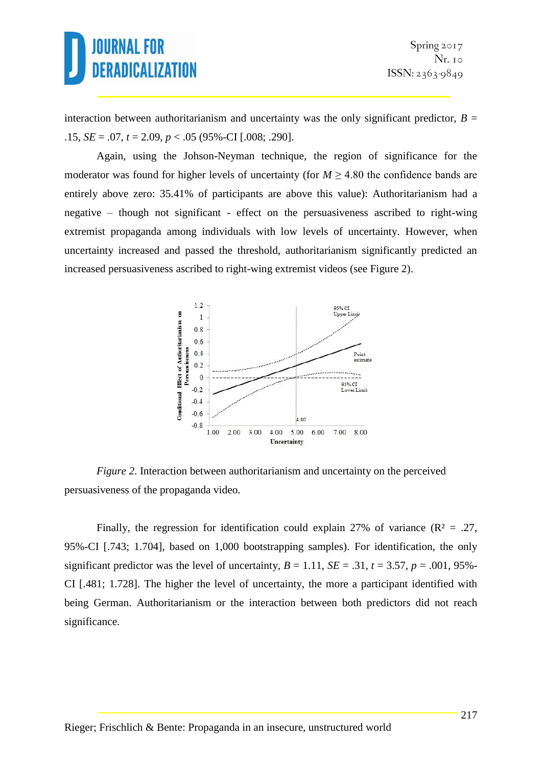interaction between authoritarianism and uncertainty was the only significant predictor,  $B =$ .15, *SE* = .07, *t* = 2.09, *p* < .05 (95%-CI [.008; .290].

Again, using the Johson-Neyman technique, the region of significance for the moderator was found for higher levels of uncertainty (for  $M \geq 4.80$  the confidence bands are entirely above zero: 35.41% of participants are above this value): Authoritarianism had a negative – though not significant - effect on the persuasiveness ascribed to right-wing extremist propaganda among individuals with low levels of uncertainty. However, when uncertainty increased and passed the threshold, authoritarianism significantly predicted an increased persuasiveness ascribed to right-wing extremist videos (see Figure 2).



*Figure 2.* Interaction between authoritarianism and uncertainty on the perceived persuasiveness of the propaganda video.

Finally, the regression for identification could explain 27% of variance ( $\mathbb{R}^2 = .27$ , 95%-CI [.743; 1.704], based on 1,000 bootstrapping samples). For identification, the only significant predictor was the level of uncertainty,  $B = 1.11$ ,  $SE = .31$ ,  $t = 3.57$ ,  $p = .001$ , 95%-CI [.481; 1.728]. The higher the level of uncertainty, the more a participant identified with being German. Authoritarianism or the interaction between both predictors did not reach significance.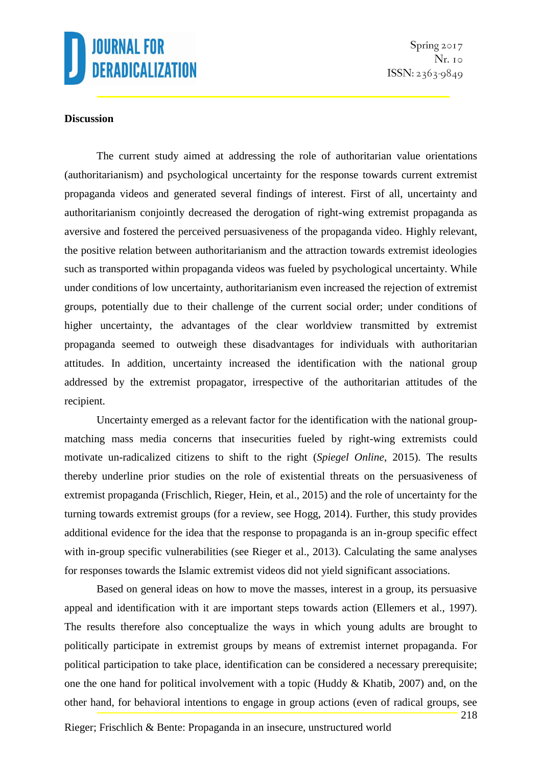

Spring 2017  $Nr.$  10  $ISSN: 2363-9849$ 

### **Discussion**

The current study aimed at addressing the role of authoritarian value orientations (authoritarianism) and psychological uncertainty for the response towards current extremist propaganda videos and generated several findings of interest. First of all, uncertainty and authoritarianism conjointly decreased the derogation of right-wing extremist propaganda as aversive and fostered the perceived persuasiveness of the propaganda video. Highly relevant, the positive relation between authoritarianism and the attraction towards extremist ideologies such as transported within propaganda videos was fueled by psychological uncertainty. While under conditions of low uncertainty, authoritarianism even increased the rejection of extremist groups, potentially due to their challenge of the current social order; under conditions of higher uncertainty, the advantages of the clear worldview transmitted by extremist propaganda seemed to outweigh these disadvantages for individuals with authoritarian attitudes. In addition, uncertainty increased the identification with the national group addressed by the extremist propagator, irrespective of the authoritarian attitudes of the recipient.

Uncertainty emerged as a relevant factor for the identification with the national groupmatching mass media concerns that insecurities fueled by right-wing extremists could motivate un-radicalized citizens to shift to the right (*Spiegel Online*, 2015). The results thereby underline prior studies on the role of existential threats on the persuasiveness of extremist propaganda (Frischlich, Rieger, Hein, et al., 2015) and the role of uncertainty for the turning towards extremist groups (for a review, see Hogg, 2014). Further, this study provides additional evidence for the idea that the response to propaganda is an in-group specific effect with in-group specific vulnerabilities (see Rieger et al., 2013). Calculating the same analyses for responses towards the Islamic extremist videos did not yield significant associations.

Based on general ideas on how to move the masses, interest in a group, its persuasive appeal and identification with it are important steps towards action (Ellemers et al., 1997). The results therefore also conceptualize the ways in which young adults are brought to politically participate in extremist groups by means of extremist internet propaganda. For political participation to take place, identification can be considered a necessary prerequisite; one the one hand for political involvement with a topic (Huddy & Khatib, 2007) and, on the other hand, for behavioral intentions to engage in group actions (even of radical groups, see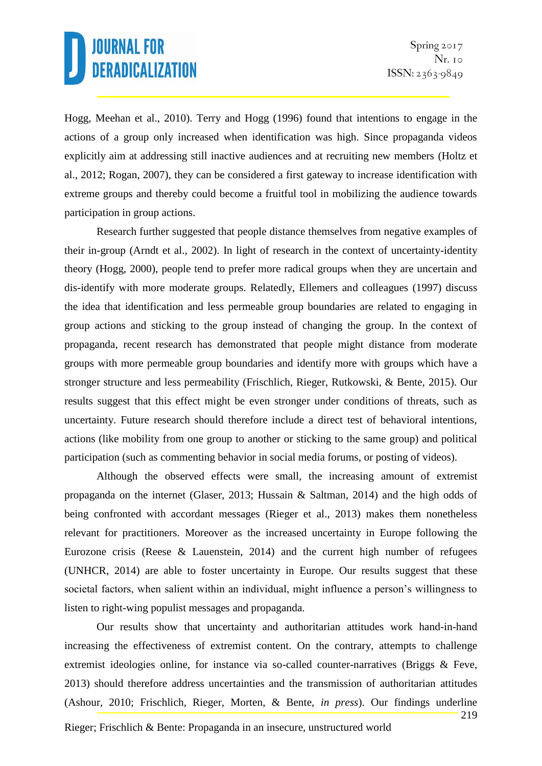Hogg, Meehan et al., 2010). Terry and Hogg (1996) found that intentions to engage in the actions of a group only increased when identification was high. Since propaganda videos explicitly aim at addressing still inactive audiences and at recruiting new members (Holtz et al., 2012; Rogan, 2007), they can be considered a first gateway to increase identification with extreme groups and thereby could become a fruitful tool in mobilizing the audience towards participation in group actions.

Research further suggested that people distance themselves from negative examples of their in-group (Arndt et al., 2002). In light of research in the context of uncertainty-identity theory (Hogg, 2000), people tend to prefer more radical groups when they are uncertain and dis-identify with more moderate groups. Relatedly, Ellemers and colleagues (1997) discuss the idea that identification and less permeable group boundaries are related to engaging in group actions and sticking to the group instead of changing the group. In the context of propaganda, recent research has demonstrated that people might distance from moderate groups with more permeable group boundaries and identify more with groups which have a stronger structure and less permeability (Frischlich, Rieger, Rutkowski, & Bente, 2015). Our results suggest that this effect might be even stronger under conditions of threats, such as uncertainty. Future research should therefore include a direct test of behavioral intentions, actions (like mobility from one group to another or sticking to the same group) and political participation (such as commenting behavior in social media forums, or posting of videos).

Although the observed effects were small, the increasing amount of extremist propaganda on the internet (Glaser, 2013; Hussain & Saltman, 2014) and the high odds of being confronted with accordant messages (Rieger et al., 2013) makes them nonetheless relevant for practitioners. Moreover as the increased uncertainty in Europe following the Eurozone crisis (Reese & Lauenstein, 2014) and the current high number of refugees (UNHCR, 2014) are able to foster uncertainty in Europe. Our results suggest that these societal factors, when salient within an individual, might influence a person's willingness to listen to right-wing populist messages and propaganda.

Our results show that uncertainty and authoritarian attitudes work hand-in-hand increasing the effectiveness of extremist content. On the contrary, attempts to challenge extremist ideologies online, for instance via so-called counter-narratives (Briggs & Feve, 2013) should therefore address uncertainties and the transmission of authoritarian attitudes (Ashour, 2010; Frischlich, Rieger, Morten, & Bente, *in press*). Our findings underline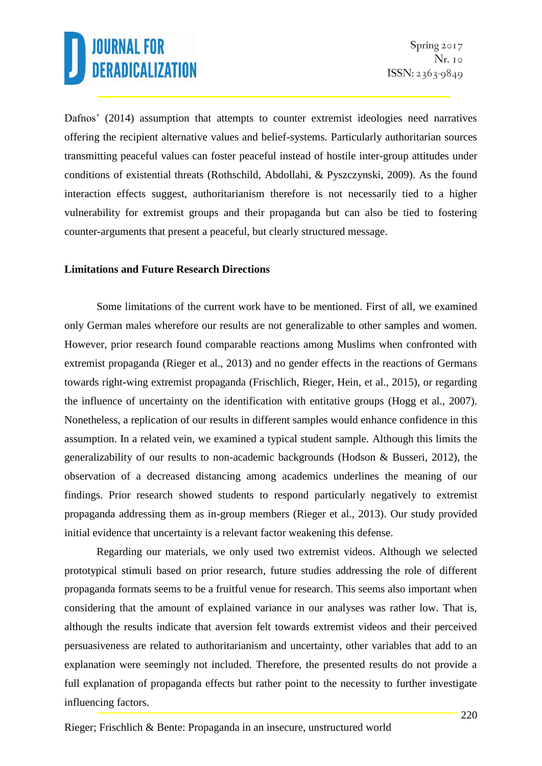Dafnos' (2014) assumption that attempts to counter extremist ideologies need narratives offering the recipient alternative values and belief-systems. Particularly authoritarian sources transmitting peaceful values can foster peaceful instead of hostile inter-group attitudes under conditions of existential threats (Rothschild, Abdollahi, & Pyszczynski, 2009). As the found interaction effects suggest, authoritarianism therefore is not necessarily tied to a higher vulnerability for extremist groups and their propaganda but can also be tied to fostering counter-arguments that present a peaceful, but clearly structured message.

### **Limitations and Future Research Directions**

Some limitations of the current work have to be mentioned. First of all, we examined only German males wherefore our results are not generalizable to other samples and women. However, prior research found comparable reactions among Muslims when confronted with extremist propaganda (Rieger et al., 2013) and no gender effects in the reactions of Germans towards right-wing extremist propaganda (Frischlich, Rieger, Hein, et al., 2015), or regarding the influence of uncertainty on the identification with entitative groups (Hogg et al., 2007). Nonetheless, a replication of our results in different samples would enhance confidence in this assumption. In a related vein, we examined a typical student sample. Although this limits the generalizability of our results to non-academic backgrounds (Hodson & Busseri, 2012), the observation of a decreased distancing among academics underlines the meaning of our findings. Prior research showed students to respond particularly negatively to extremist propaganda addressing them as in-group members (Rieger et al., 2013). Our study provided initial evidence that uncertainty is a relevant factor weakening this defense.

Regarding our materials, we only used two extremist videos. Although we selected prototypical stimuli based on prior research, future studies addressing the role of different propaganda formats seems to be a fruitful venue for research. This seems also important when considering that the amount of explained variance in our analyses was rather low. That is, although the results indicate that aversion felt towards extremist videos and their perceived persuasiveness are related to authoritarianism and uncertainty, other variables that add to an explanation were seemingly not included. Therefore, the presented results do not provide a full explanation of propaganda effects but rather point to the necessity to further investigate influencing factors.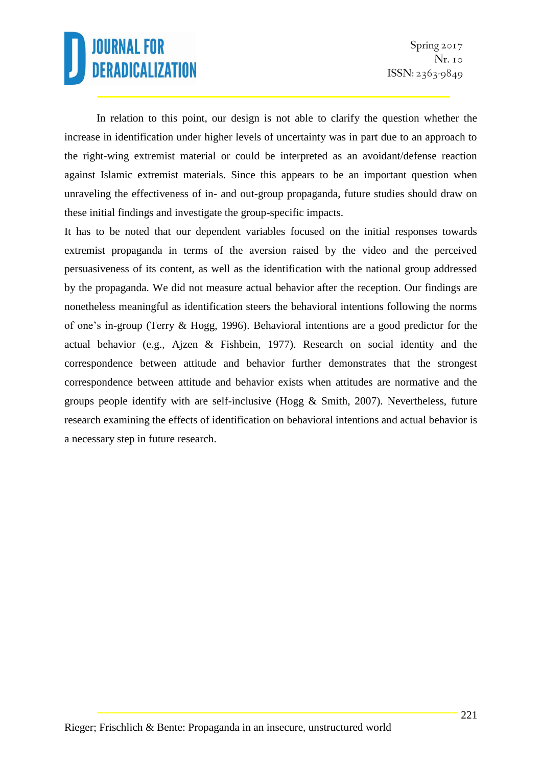In relation to this point, our design is not able to clarify the question whether the increase in identification under higher levels of uncertainty was in part due to an approach to the right-wing extremist material or could be interpreted as an avoidant/defense reaction against Islamic extremist materials. Since this appears to be an important question when unraveling the effectiveness of in- and out-group propaganda, future studies should draw on these initial findings and investigate the group-specific impacts.

It has to be noted that our dependent variables focused on the initial responses towards extremist propaganda in terms of the aversion raised by the video and the perceived persuasiveness of its content, as well as the identification with the national group addressed by the propaganda. We did not measure actual behavior after the reception. Our findings are nonetheless meaningful as identification steers the behavioral intentions following the norms of one's in-group (Terry & Hogg, 1996). Behavioral intentions are a good predictor for the actual behavior (e.g., Ajzen & Fishbein, 1977). Research on social identity and the correspondence between attitude and behavior further demonstrates that the strongest correspondence between attitude and behavior exists when attitudes are normative and the groups people identify with are self-inclusive (Hogg & Smith, 2007). Nevertheless, future research examining the effects of identification on behavioral intentions and actual behavior is a necessary step in future research.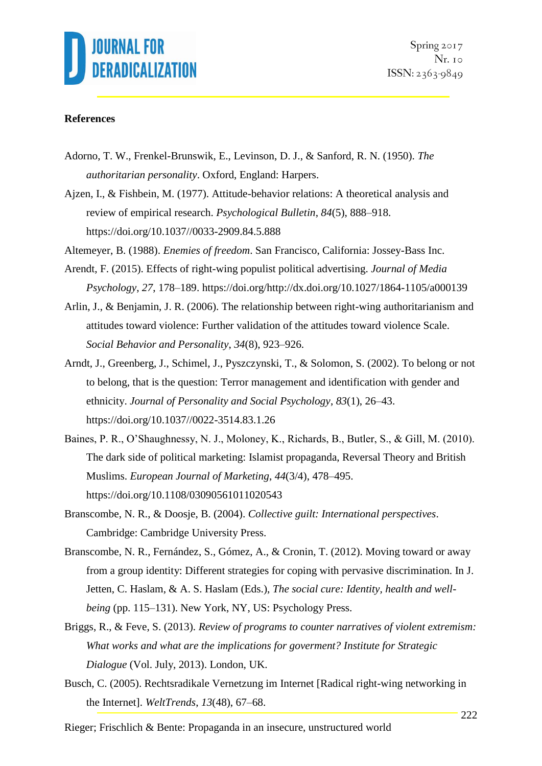

Spring 2017  $Nr.$  10  $ISSN: 2363-9849$ 

#### **References**

- Adorno, T. W., Frenkel-Brunswik, E., Levinson, D. J., & Sanford, R. N. (1950). *The authoritarian personality*. Oxford, England: Harpers.
- Ajzen, I., & Fishbein, M. (1977). Attitude-behavior relations: A theoretical analysis and review of empirical research. *Psychological Bulletin*, *84*(5), 888–918. https://doi.org/10.1037//0033-2909.84.5.888
- Altemeyer, B. (1988). *Enemies of freedom*. San Francisco, California: Jossey-Bass Inc.
- Arendt, F. (2015). Effects of right-wing populist political advertising. *Journal of Media Psychology*, *27*, 178–189. https://doi.org/http://dx.doi.org/10.1027/1864-1105/a000139
- Arlin, J., & Benjamin, J. R. (2006). The relationship between right-wing authoritarianism and attitudes toward violence: Further validation of the attitudes toward violence Scale. *Social Behavior and Personality*, *34*(8), 923–926.
- Arndt, J., Greenberg, J., Schimel, J., Pyszczynski, T., & Solomon, S. (2002). To belong or not to belong, that is the question: Terror management and identification with gender and ethnicity. *Journal of Personality and Social Psychology*, *83*(1), 26–43. https://doi.org/10.1037//0022-3514.83.1.26
- Baines, P. R., O'Shaughnessy, N. J., Moloney, K., Richards, B., Butler, S., & Gill, M. (2010). The dark side of political marketing: Islamist propaganda, Reversal Theory and British Muslims. *European Journal of Marketing*, *44*(3/4), 478–495. https://doi.org/10.1108/03090561011020543
- Branscombe, N. R., & Doosje, B. (2004). *Collective guilt: International perspectives*. Cambridge: Cambridge University Press.
- Branscombe, N. R., Fernández, S., Gómez, A., & Cronin, T. (2012). Moving toward or away from a group identity: Different strategies for coping with pervasive discrimination. In J. Jetten, C. Haslam, & A. S. Haslam (Eds.), *The social cure: Identity, health and wellbeing* (pp. 115–131). New York, NY, US: Psychology Press.
- Briggs, R., & Feve, S. (2013). *Review of programs to counter narratives of violent extremism: What works and what are the implications for goverment? Institute for Strategic Dialogue* (Vol. July, 2013). London, UK.
- Busch, C. (2005). Rechtsradikale Vernetzung im Internet [Radical right-wing networking in the Internet]. *WeltTrends*, *13*(48), 67–68.
- Rieger; Frischlich & Bente: Propaganda in an insecure, unstructured world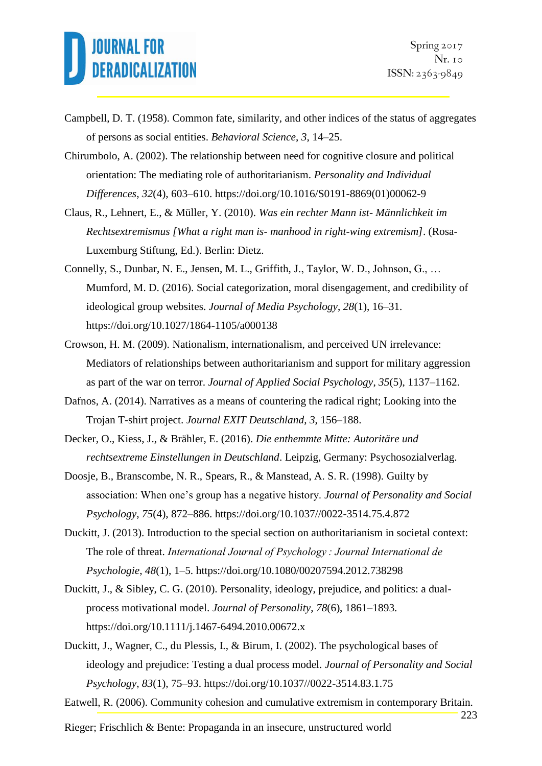- Campbell, D. T. (1958). Common fate, similarity, and other indices of the status of aggregates of persons as social entities. *Behavioral Science*, *3*, 14–25.
- Chirumbolo, A. (2002). The relationship between need for cognitive closure and political orientation: The mediating role of authoritarianism. *Personality and Individual Differences*, *32*(4), 603–610. https://doi.org/10.1016/S0191-8869(01)00062-9
- Claus, R., Lehnert, E., & Müller, Y. (2010). *Was ein rechter Mann ist- Männlichkeit im Rechtsextremismus [What a right man is- manhood in right-wing extremism]*. (Rosa-Luxemburg Stiftung, Ed.). Berlin: Dietz.
- Connelly, S., Dunbar, N. E., Jensen, M. L., Griffith, J., Taylor, W. D., Johnson, G., … Mumford, M. D. (2016). Social categorization, moral disengagement, and credibility of ideological group websites. *Journal of Media Psychology*, *28*(1), 16–31. https://doi.org/10.1027/1864-1105/a000138
- Crowson, H. M. (2009). Nationalism, internationalism, and perceived UN irrelevance: Mediators of relationships between authoritarianism and support for military aggression as part of the war on terror. *Journal of Applied Social Psychology*, *35*(5), 1137–1162.
- Dafnos, A. (2014). Narratives as a means of countering the radical right; Looking into the Trojan T-shirt project. *Journal EXIT Deutschland*, *3*, 156–188.
- Decker, O., Kiess, J., & Brähler, E. (2016). *Die enthemmte Mitte: Autoritäre und rechtsextreme Einstellungen in Deutschland*. Leipzig, Germany: Psychosozialverlag.
- Doosje, B., Branscombe, N. R., Spears, R., & Manstead, A. S. R. (1998). Guilty by association: When one's group has a negative history. *Journal of Personality and Social Psychology*, *75*(4), 872–886. https://doi.org/10.1037//0022-3514.75.4.872
- Duckitt, J. (2013). Introduction to the special section on authoritarianism in societal context: The role of threat. *International Journal of Psychology : Journal International de Psychologie*, *48*(1), 1–5. https://doi.org/10.1080/00207594.2012.738298
- Duckitt, J., & Sibley, C. G. (2010). Personality, ideology, prejudice, and politics: a dualprocess motivational model. *Journal of Personality*, *78*(6), 1861–1893. https://doi.org/10.1111/j.1467-6494.2010.00672.x
- Duckitt, J., Wagner, C., du Plessis, I., & Birum, I. (2002). The psychological bases of ideology and prejudice: Testing a dual process model. *Journal of Personality and Social Psychology*, *83*(1), 75–93. https://doi.org/10.1037//0022-3514.83.1.75
- Eatwell, R. (2006). Community cohesion and cumulative extremism in contemporary Britain.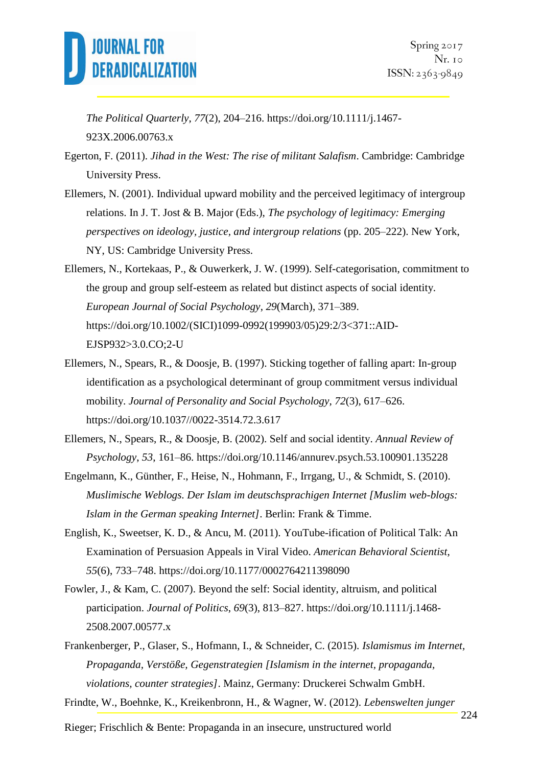

*The Political Quarterly*, *77*(2), 204–216. https://doi.org/10.1111/j.1467- 923X.2006.00763.x

- Egerton, F. (2011). *Jihad in the West: The rise of militant Salafism*. Cambridge: Cambridge University Press.
- Ellemers, N. (2001). Individual upward mobility and the perceived legitimacy of intergroup relations. In J. T. Jost & B. Major (Eds.), *The psychology of legitimacy: Emerging perspectives on ideology, justice, and intergroup relations* (pp. 205–222). New York, NY, US: Cambridge University Press.
- Ellemers, N., Kortekaas, P., & Ouwerkerk, J. W. (1999). Self-categorisation, commitment to the group and group self-esteem as related but distinct aspects of social identity. *European Journal of Social Psychology*, *29*(March), 371–389. https://doi.org/10.1002/(SICI)1099-0992(199903/05)29:2/3<371::AID-EJSP932>3.0.CO;2-U
- Ellemers, N., Spears, R., & Doosje, B. (1997). Sticking together of falling apart: In-group identification as a psychological determinant of group commitment versus individual mobility. *Journal of Personality and Social Psychology*, *72*(3), 617–626. https://doi.org/10.1037//0022-3514.72.3.617
- Ellemers, N., Spears, R., & Doosje, B. (2002). Self and social identity. *Annual Review of Psychology*, *53*, 161–86. https://doi.org/10.1146/annurev.psych.53.100901.135228
- Engelmann, K., Günther, F., Heise, N., Hohmann, F., Irrgang, U., & Schmidt, S. (2010). *Muslimische Weblogs. Der Islam im deutschsprachigen Internet [Muslim web-blogs: Islam in the German speaking Internet]*. Berlin: Frank & Timme.
- English, K., Sweetser, K. D., & Ancu, M. (2011). YouTube-ification of Political Talk: An Examination of Persuasion Appeals in Viral Video. *American Behavioral Scientist*, *55*(6), 733–748. https://doi.org/10.1177/0002764211398090
- Fowler, J., & Kam, C. (2007). Beyond the self: Social identity, altruism, and political participation. *Journal of Politics*, *69*(3), 813–827. https://doi.org/10.1111/j.1468- 2508.2007.00577.x

Frankenberger, P., Glaser, S., Hofmann, I., & Schneider, C. (2015). *Islamismus im Internet, Propaganda, Verstöße, Gegenstrategien [Islamism in the internet, propaganda, violations, counter strategies]*. Mainz, Germany: Druckerei Schwalm GmbH.

Frindte, W., Boehnke, K., Kreikenbronn, H., & Wagner, W. (2012). *Lebenswelten junger*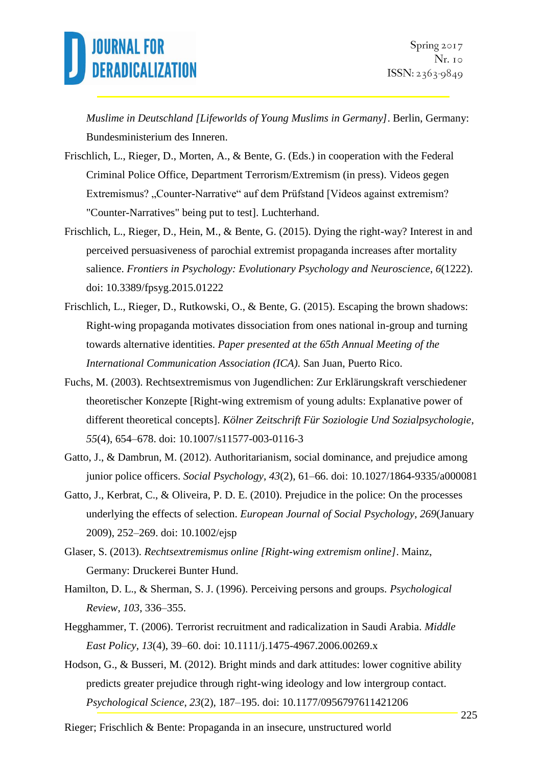*Muslime in Deutschland [Lifeworlds of Young Muslims in Germany]*. Berlin, Germany: Bundesministerium des Inneren.

- Frischlich, L., Rieger, D., Morten, A., & Bente, G. (Eds.) in cooperation with the Federal Criminal Police Office, Department Terrorism/Extremism (in press). Videos gegen Extremismus? "Counter-Narrative" auf dem Prüfstand [Videos against extremism? "Counter-Narratives" being put to test]. Luchterhand.
- Frischlich, L., Rieger, D., Hein, M., & Bente, G. (2015). Dying the right-way? Interest in and perceived persuasiveness of parochial extremist propaganda increases after mortality salience. *Frontiers in Psychology: Evolutionary Psychology and Neuroscience*, *6*(1222). doi: 10.3389/fpsyg.2015.01222
- Frischlich, L., Rieger, D., Rutkowski, O., & Bente, G. (2015). Escaping the brown shadows: Right-wing propaganda motivates dissociation from ones national in-group and turning towards alternative identities. *Paper presented at the 65th Annual Meeting of the International Communication Association (ICA)*. San Juan, Puerto Rico.
- Fuchs, M. (2003). Rechtsextremismus von Jugendlichen: Zur Erklärungskraft verschiedener theoretischer Konzepte [Right-wing extremism of young adults: Explanative power of different theoretical concepts]. *Kölner Zeitschrift Für Soziologie Und Sozialpsychologie*, *55*(4), 654–678. doi: 10.1007/s11577-003-0116-3
- Gatto, J., & Dambrun, M. (2012). Authoritarianism, social dominance, and prejudice among junior police officers. *Social Psychology*, *43*(2), 61–66. doi: 10.1027/1864-9335/a000081
- Gatto, J., Kerbrat, C., & Oliveira, P. D. E. (2010). Prejudice in the police: On the processes underlying the effects of selection. *European Journal of Social Psychology*, *269*(January 2009), 252–269. doi: 10.1002/ejsp
- Glaser, S. (2013). *Rechtsextremismus online [Right-wing extremism online]*. Mainz, Germany: Druckerei Bunter Hund.
- Hamilton, D. L., & Sherman, S. J. (1996). Perceiving persons and groups. *Psychological Review*, *103*, 336–355.
- Hegghammer, T. (2006). Terrorist recruitment and radicalization in Saudi Arabia. *Middle East Policy*, *13*(4), 39–60. doi: 10.1111/j.1475-4967.2006.00269.x
- Hodson, G., & Busseri, M. (2012). Bright minds and dark attitudes: lower cognitive ability predicts greater prejudice through right-wing ideology and low intergroup contact. *Psychological Science*, *23*(2), 187–195. doi: 10.1177/0956797611421206
- Rieger; Frischlich & Bente: Propaganda in an insecure, unstructured world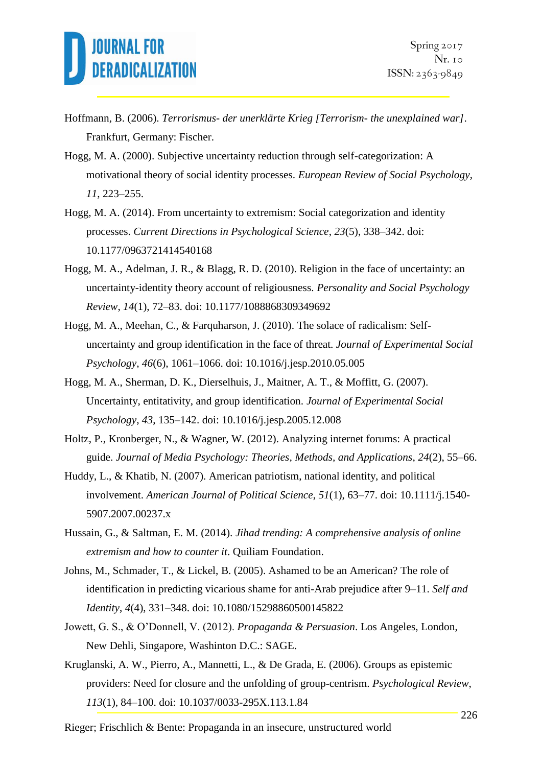- Hoffmann, B. (2006). *Terrorismus- der unerklärte Krieg [Terrorism- the unexplained war]*. Frankfurt, Germany: Fischer.
- Hogg, M. A. (2000). Subjective uncertainty reduction through self-categorization: A motivational theory of social identity processes. *European Review of Social Psychology*, *11*, 223–255.
- Hogg, M. A. (2014). From uncertainty to extremism: Social categorization and identity processes. *Current Directions in Psychological Science*, *23*(5), 338–342. doi: 10.1177/0963721414540168
- Hogg, M. A., Adelman, J. R., & Blagg, R. D. (2010). Religion in the face of uncertainty: an uncertainty-identity theory account of religiousness. *Personality and Social Psychology Review*, *14*(1), 72–83. doi: 10.1177/1088868309349692
- Hogg, M. A., Meehan, C., & Farquharson, J. (2010). The solace of radicalism: Selfuncertainty and group identification in the face of threat. *Journal of Experimental Social Psychology*, *46*(6), 1061–1066. doi: 10.1016/j.jesp.2010.05.005
- Hogg, M. A., Sherman, D. K., Dierselhuis, J., Maitner, A. T., & Moffitt, G. (2007). Uncertainty, entitativity, and group identification. *Journal of Experimental Social Psychology*, *43*, 135–142. doi: 10.1016/j.jesp.2005.12.008
- Holtz, P., Kronberger, N., & Wagner, W. (2012). Analyzing internet forums: A practical guide. *Journal of Media Psychology: Theories, Methods, and Applications*, *24*(2), 55–66.
- Huddy, L., & Khatib, N. (2007). American patriotism, national identity, and political involvement. *American Journal of Political Science*, *51*(1), 63–77. doi: 10.1111/j.1540- 5907.2007.00237.x
- Hussain, G., & Saltman, E. M. (2014). *Jihad trending: A comprehensive analysis of online extremism and how to counter it*. Quiliam Foundation.
- Johns, M., Schmader, T., & Lickel, B. (2005). Ashamed to be an American? The role of identification in predicting vicarious shame for anti-Arab prejudice after 9–11. *Self and Identity*, *4*(4), 331–348. doi: 10.1080/15298860500145822
- Jowett, G. S., & O'Donnell, V. (2012). *Propaganda & Persuasion*. Los Angeles, London, New Dehli, Singapore, Washinton D.C.: SAGE.
- Kruglanski, A. W., Pierro, A., Mannetti, L., & De Grada, E. (2006). Groups as epistemic providers: Need for closure and the unfolding of group-centrism. *Psychological Review*, *113*(1), 84–100. doi: 10.1037/0033-295X.113.1.84

Rieger; Frischlich & Bente: Propaganda in an insecure, unstructured world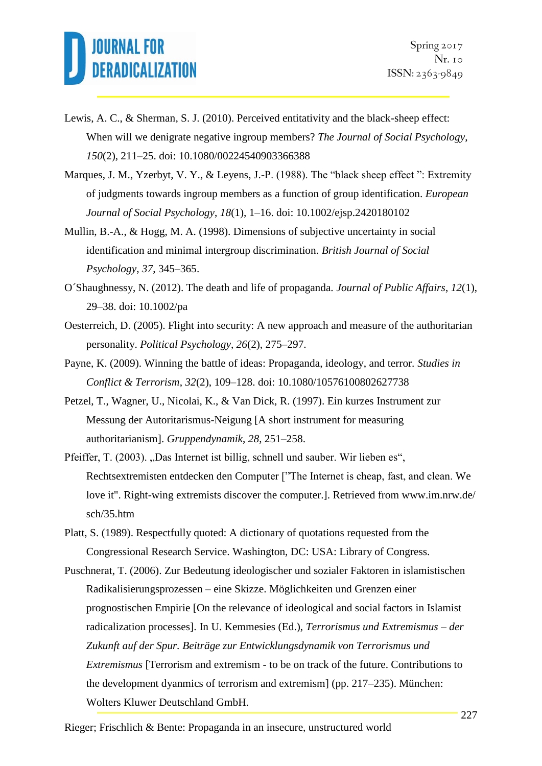- Lewis, A. C., & Sherman, S. J. (2010). Perceived entitativity and the black-sheep effect: When will we denigrate negative ingroup members? *The Journal of Social Psychology*, *150*(2), 211–25. doi: 10.1080/00224540903366388
- Marques, J. M., Yzerbyt, V. Y., & Leyens, J.-P. (1988). The "black sheep effect ": Extremity of judgments towards ingroup members as a function of group identification. *European Journal of Social Psychology*, *18*(1), 1–16. doi: 10.1002/ejsp.2420180102
- Mullin, B.-A., & Hogg, M. A. (1998). Dimensions of subjective uncertainty in social identification and minimal intergroup discrimination. *British Journal of Social Psychology*, *37*, 345–365.
- O´Shaughnessy, N. (2012). The death and life of propaganda. *Journal of Public Affairs*, *12*(1), 29–38. doi: 10.1002/pa
- Oesterreich, D. (2005). Flight into security: A new approach and measure of the authoritarian personality. *Political Psychology*, *26*(2), 275–297.
- Payne, K. (2009). Winning the battle of ideas: Propaganda, ideology, and terror. *Studies in Conflict & Terrorism*, *32*(2), 109–128. doi: 10.1080/10576100802627738
- Petzel, T., Wagner, U., Nicolai, K., & Van Dick, R. (1997). Ein kurzes Instrument zur Messung der Autoritarismus-Neigung [A short instrument for measuring authoritarianism]. *Gruppendynamik*, *28*, 251–258.
- Pfeiffer, T. (2003). "Das Internet ist billig, schnell und sauber. Wir lieben es", Rechtsextremisten entdecken den Computer ["The Internet is cheap, fast, and clean. We love it". Right-wing extremists discover the computer.]. Retrieved from www.im.nrw.de/ sch/35.htm
- Platt, S. (1989). Respectfully quoted: A dictionary of quotations requested from the Congressional Research Service. Washington, DC: USA: Library of Congress.
- Puschnerat, T. (2006). Zur Bedeutung ideologischer und sozialer Faktoren in islamistischen Radikalisierungsprozessen – eine Skizze. Möglichkeiten und Grenzen einer prognostischen Empirie [On the relevance of ideological and social factors in Islamist radicalization processes]. In U. Kemmesies (Ed.), *Terrorismus und Extremismus – der Zukunft auf der Spur. Beiträge zur Entwicklungsdynamik von Terrorismus und Extremismus* [Terrorism and extremism - to be on track of the future. Contributions to the development dyanmics of terrorism and extremism] (pp. 217–235). München: Wolters Kluwer Deutschland GmbH.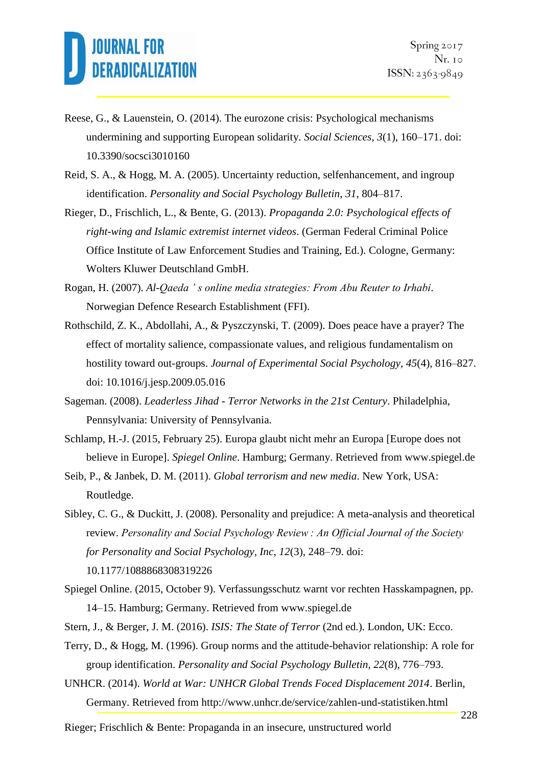- Reese, G., & Lauenstein, O. (2014). The eurozone crisis: Psychological mechanisms undermining and supporting European solidarity. *Social Sciences*, *3*(1), 160–171. doi: 10.3390/socsci3010160
- Reid, S. A., & Hogg, M. A. (2005). Uncertainty reduction, selfenhancement, and ingroup identification. *Personality and Social Psychology Bulletin*, *31*, 804–817.
- Rieger, D., Frischlich, L., & Bente, G. (2013). *Propaganda 2.0: Psychological effects of right-wing and Islamic extremist internet videos*. (German Federal Criminal Police Office Institute of Law Enforcement Studies and Training, Ed.). Cologne, Germany: Wolters Kluwer Deutschland GmbH.
- Rogan, H. (2007). *Al-Qaeda ' s online media strategies: From Abu Reuter to Irhabi*. Norwegian Defence Research Establishment (FFI).
- Rothschild, Z. K., Abdollahi, A., & Pyszczynski, T. (2009). Does peace have a prayer? The effect of mortality salience, compassionate values, and religious fundamentalism on hostility toward out-groups. *Journal of Experimental Social Psychology*, *45*(4), 816–827. doi: 10.1016/j.jesp.2009.05.016
- Sageman. (2008). *Leaderless Jihad - Terror Networks in the 21st Century*. Philadelphia, Pennsylvania: University of Pennsylvania.
- Schlamp, H.-J. (2015, February 25). Europa glaubt nicht mehr an Europa [Europe does not believe in Europe]. *Spiegel Online*. Hamburg; Germany. Retrieved from www.spiegel.de
- Seib, P., & Janbek, D. M. (2011). *Global terrorism and new media*. New York, USA: Routledge.
- Sibley, C. G., & Duckitt, J. (2008). Personality and prejudice: A meta-analysis and theoretical review. *Personality and Social Psychology Review : An Official Journal of the Society for Personality and Social Psychology, Inc*, *12*(3), 248–79. doi: 10.1177/1088868308319226
- Spiegel Online. (2015, October 9). Verfassungsschutz warnt vor rechten Hasskampagnen, pp. 14–15. Hamburg; Germany. Retrieved from www.spiegel.de
- Stern, J., & Berger, J. M. (2016). *ISIS: The State of Terror* (2nd ed.). London, UK: Ecco.
- Terry, D., & Hogg, M. (1996). Group norms and the attitude-behavior relationship: A role for group identification. *Personality and Social Psychology Bulletin*, *22*(8), 776–793.
- UNHCR. (2014). *World at War: UNHCR Global Trends Foced Displacement 2014*. Berlin, Germany. Retrieved from http://www.unhcr.de/service/zahlen-und-statistiken.html
- Rieger; Frischlich & Bente: Propaganda in an insecure, unstructured world